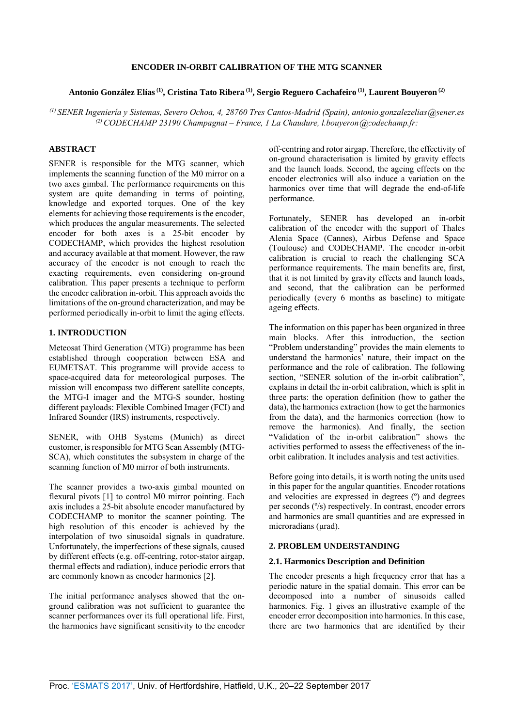### **ENCODER IN-ORBIT CALIBRATION OF THE MTG SCANNER**

# **Antonio González Elías (1), Cristina Tato Ribera (1), Sergio Reguero Cachafeiro (1), Laurent Bouyeron (2)**

<sup>(1)</sup> SENER Ingeniería y Sistemas, Severo Ochoa, 4, 28760 Tres Cantos-Madrid (Spain), antonio.gonzalezelias @sener.es <sup>(2)</sup> CODECHAMP 23190 Champagnat – France, 1 La Chaudure, l.bouyeron @codechamp.fr:

## **ABSTRACT**

SENER is responsible for the MTG scanner, which implements the scanning function of the M0 mirror on a two axes gimbal. The performance requirements on this system are quite demanding in terms of pointing, knowledge and exported torques. One of the key elements for achieving those requirements is the encoder, which produces the angular measurements. The selected encoder for both axes is a 25-bit encoder by CODECHAMP, which provides the highest resolution and accuracy available at that moment. However, the raw accuracy of the encoder is not enough to reach the exacting requirements, even considering on-ground calibration. This paper presents a technique to perform the encoder calibration in-orbit. This approach avoids the limitations of the on-ground characterization, and may be performed periodically in-orbit to limit the aging effects.

### **1. INTRODUCTION**

Meteosat Third Generation (MTG) programme has been established through cooperation between ESA and EUMETSAT. This programme will provide access to space-acquired data for meteorological purposes. The mission will encompass two different satellite concepts, the MTG-I imager and the MTG-S sounder, hosting different payloads: Flexible Combined Imager (FCI) and Infrared Sounder (IRS) instruments, respectively.

SENER, with OHB Systems (Munich) as direct customer, is responsible for MTG Scan Assembly (MTG-SCA), which constitutes the subsystem in charge of the scanning function of M0 mirror of both instruments.

The scanner provides a two-axis gimbal mounted on flexural pivots [1] to control M0 mirror pointing. Each axis includes a 25-bit absolute encoder manufactured by CODECHAMP to monitor the scanner pointing. The high resolution of this encoder is achieved by the interpolation of two sinusoidal signals in quadrature. Unfortunately, the imperfections of these signals, caused by different effects (e.g. off-centring, rotor-stator airgap, thermal effects and radiation), induce periodic errors that are commonly known as encoder harmonics [2].

The initial performance analyses showed that the onground calibration was not sufficient to guarantee the scanner performances over its full operational life. First, the harmonics have significant sensitivity to the encoder off-centring and rotor airgap. Therefore, the effectivity of on-ground characterisation is limited by gravity effects and the launch loads. Second, the ageing effects on the encoder electronics will also induce a variation on the harmonics over time that will degrade the end-of-life performance.

Fortunately, SENER has developed an in-orbit calibration of the encoder with the support of Thales Alenia Space (Cannes), Airbus Defense and Space (Toulouse) and CODECHAMP. The encoder in-orbit calibration is crucial to reach the challenging SCA performance requirements. The main benefits are, first, that it is not limited by gravity effects and launch loads, and second, that the calibration can be performed periodically (every 6 months as baseline) to mitigate ageing effects.

The information on this paper has been organized in three main blocks. After this introduction, the section "Problem understanding" provides the main elements to understand the harmonics' nature, their impact on the performance and the role of calibration. The following section, "SENER solution of the in-orbit calibration", explains in detail the in-orbit calibration, which is split in three parts: the operation definition (how to gather the data), the harmonics extraction (how to get the harmonics from the data), and the harmonics correction (how to remove the harmonics). And finally, the section "Validation of the in-orbit calibration" shows the activities performed to assess the effectiveness of the inorbit calibration. It includes analysis and test activities.

Before going into details, it is worth noting the units used in this paper for the angular quantities. Encoder rotations and velocities are expressed in degrees (º) and degrees per seconds (º/s) respectively. In contrast, encoder errors and harmonics are small quantities and are expressed in microradians (urad).

#### **2. PROBLEM UNDERSTANDING**

### **2.1. Harmonics Description and Definition**

The encoder presents a high frequency error that has a periodic nature in the spatial domain. This error can be decomposed into a number of sinusoids called harmonics. Fig. 1 gives an illustrative example of the encoder error decomposition into harmonics. In this case, there are two harmonics that are identified by their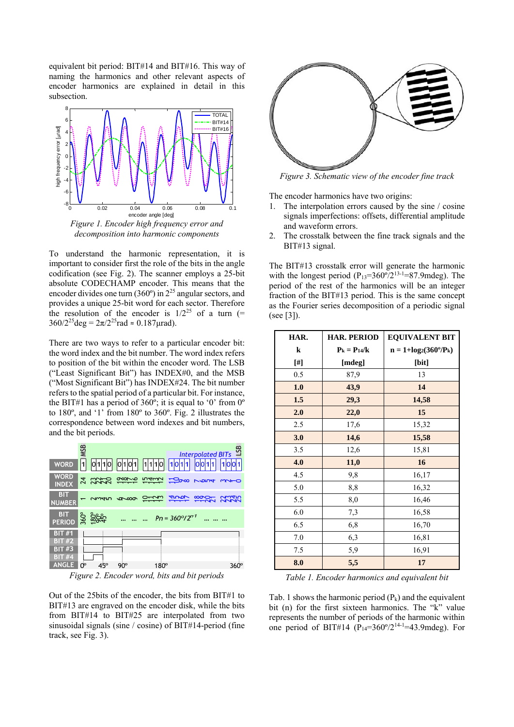equivalent bit period: BIT#14 and BIT#16. This way of naming the harmonics and other relevant aspects of encoder harmonics are explained in detail in this subsection.



*decomposition into harmonic components* 

To understand the harmonic representation, it is important to consider first the role of the bits in the angle codification (see Fig. 2). The scanner employs a 25-bit absolute CODECHAMP encoder. This means that the encoder divides one turn  $(360^{\circ})$  in  $2^{25}$  angular sectors, and provides a unique 25-bit word for each sector. Therefore the resolution of the encoder is  $1/2^{25}$  of a turn (=  $360/2^{25}$ deg =  $2\pi/2^{25}$ rad ≈ 0.187µrad).

There are two ways to refer to a particular encoder bit: the word index and the bit number. The word index refers to position of the bit within the encoder word. The LSB ("Least Significant Bit") has INDEX#0, and the MSB ("Most Significant Bit") has INDEX#24. The bit number refers to the spatial period of a particular bit. For instance, the BIT#1 has a period of  $360^\circ$ ; it is equal to '0' from 0° to 180º, and '1' from 180º to 360º. Fig. 2 illustrates the correspondence between word indexes and bit numbers, and the bit periods.



*Figure 2. Encoder word, bits and bit periods* 

Out of the 25bits of the encoder, the bits from BIT#1 to BIT#13 are engraved on the encoder disk, while the bits from BIT#14 to BIT#25 are interpolated from two sinusoidal signals (sine / cosine) of BIT#14-period (fine track, see Fig. 3).



*Figure 3. Schematic view of the encoder fine track* 

The encoder harmonics have two origins:

- 1. The interpolation errors caused by the sine / cosine signals imperfections: offsets, differential amplitude and waveform errors.
- 2. The crosstalk between the fine track signals and the BIT#13 signal.

The BIT#13 crosstalk error will generate the harmonic with the longest period  $(P_{13}=360\degree/2^{13-1}=87.9$ mdeg). The period of the rest of the harmonics will be an integer fraction of the BIT#13 period. This is the same concept as the Fourier series decomposition of a periodic signal (see [3]).

| HAR. | <b>HAR. PERIOD</b> | <b>EQUIVALENT BIT</b>            |  |
|------|--------------------|----------------------------------|--|
| k    | $P_k = P_{14}/k$   | $n = 1 + log_2(360^{\circ}/P_k)$ |  |
| [#]  | [mdeg]             | [bit]                            |  |
| 0.5  | 87,9               | 13                               |  |
| 1.0  | 43,9               | 14                               |  |
| 1.5  | 29,3               | 14,58                            |  |
| 2.0  | 22,0               | 15                               |  |
| 2.5  | 17,6               | 15,32                            |  |
| 3.0  | 14,6               | 15,58                            |  |
| 3.5  | 12,6               | 15,81                            |  |
| 4.0  | 11,0               | 16                               |  |
| 4.5  | 9,8                | 16,17                            |  |
| 5.0  | 8,8                | 16,32                            |  |
| 5.5  | 8,0                | 16,46                            |  |
| 6.0  | 7,3                | 16,58                            |  |
| 6.5  | 6,8                | 16,70                            |  |
| 7.0  | 6,3                | 16,81                            |  |
| 7.5  | 5,9                | 16,91                            |  |
| 8.0  | 5,5                | 17                               |  |

*Table 1. Encoder harmonics and equivalent bit* 

Tab. 1 shows the harmonic period  $(P_k)$  and the equivalent bit (n) for the first sixteen harmonics. The "k" value represents the number of periods of the harmonic within one period of BIT#14 ( $P_{14}=360^{\circ}/2^{14-1}=43.9$  mdeg). For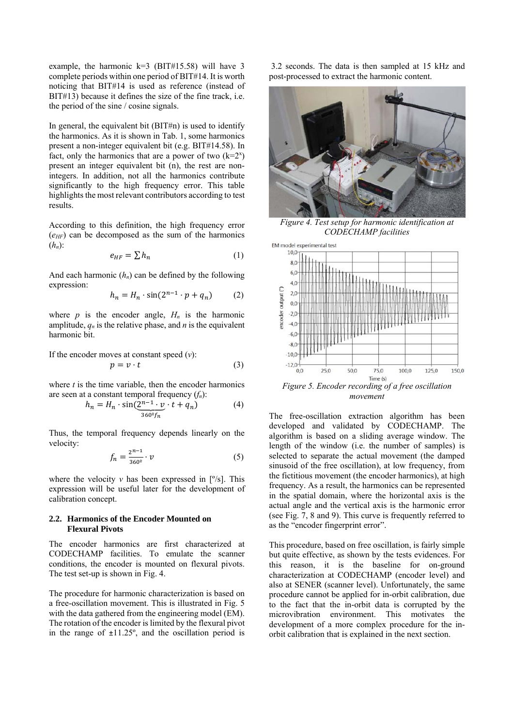example, the harmonic  $k=3$  (BIT#15.58) will have 3 complete periods within one period of BIT#14. It is worth noticing that BIT#14 is used as reference (instead of BIT#13) because it defines the size of the fine track, i.e. the period of the sine / cosine signals.

In general, the equivalent bit  $(BIT#n)$  is used to identify the harmonics. As it is shown in Tab. 1, some harmonics present a non-integer equivalent bit (e.g. BIT#14.58). In fact, only the harmonics that are a power of two  $(k=2^x)$ present an integer equivalent bit (n), the rest are nonintegers. In addition, not all the harmonics contribute significantly to the high frequency error. This table highlights the most relevant contributors according to test results.

According to this definition, the high frequency error  $(e<sub>HF</sub>)$  can be decomposed as the sum of the harmonics (*hn*):

$$
e_{HF} = \sum h_n \tag{1}
$$

And each harmonic  $(h_n)$  can be defined by the following expression:

$$
h_n = H_n \cdot \sin(2^{n-1} \cdot p + q_n) \tag{2}
$$

where  $p$  is the encoder angle,  $H_n$  is the harmonic amplitude,  $q_n$  is the relative phase, and *n* is the equivalent harmonic bit.

If the encoder moves at constant speed (*v*):

$$
p = v \cdot t \tag{3}
$$

where  $t$  is the time variable, then the encoder harmonics are seen at a constant temporal frequency (*fn*):

$$
h_n = H_n \cdot \sin(\underbrace{2^{n-1} \cdot v}_{360^\circ f_n} \cdot t + q_n) \tag{4}
$$

Thus, the temporal frequency depends linearly on the velocity:

$$
f_n = \frac{2^{n-1}}{360^\circ} \cdot v \tag{5}
$$

where the velocity  $\nu$  has been expressed in [ $\degree$ /s]. This expression will be useful later for the development of calibration concept.

### **2.2. Harmonics of the Encoder Mounted on Flexural Pivots**

The encoder harmonics are first characterized at CODECHAMP facilities. To emulate the scanner conditions, the encoder is mounted on flexural pivots. The test set-up is shown in Fig. 4.

The procedure for harmonic characterization is based on a free-oscillation movement. This is illustrated in Fig. 5 with the data gathered from the engineering model (EM). The rotation of the encoder is limited by the flexural pivot in the range of  $\pm 11.25^\circ$ , and the oscillation period is

 3.2 seconds. The data is then sampled at 15 kHz and post-processed to extract the harmonic content.



*Figure 4. Test setup for harmonic identification at CODECHAMP facilities* 



*movement* 

The free-oscillation extraction algorithm has been developed and validated by CODECHAMP. The algorithm is based on a sliding average window. The length of the window (i.e. the number of samples) is selected to separate the actual movement (the damped sinusoid of the free oscillation), at low frequency, from the fictitious movement (the encoder harmonics), at high frequency. As a result, the harmonics can be represented in the spatial domain, where the horizontal axis is the actual angle and the vertical axis is the harmonic error (see Fig. 7, 8 and 9). This curve is frequently referred to as the "encoder fingerprint error".

This procedure, based on free oscillation, is fairly simple but quite effective, as shown by the tests evidences. For this reason, it is the baseline for on-ground characterization at CODECHAMP (encoder level) and also at SENER (scanner level). Unfortunately, the same procedure cannot be applied for in-orbit calibration, due to the fact that the in-orbit data is corrupted by the microvibration environment. This motivates the development of a more complex procedure for the inorbit calibration that is explained in the next section.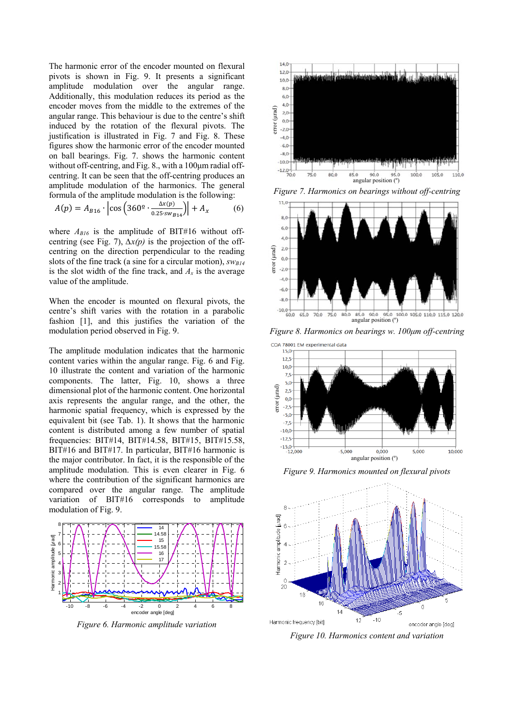The harmonic error of the encoder mounted on flexural pivots is shown in Fig. 9. It presents a significant amplitude modulation over the angular range. Additionally, this modulation reduces its period as the encoder moves from the middle to the extremes of the angular range. This behaviour is due to the centre's shift induced by the rotation of the flexural pivots. The justification is illustrated in Fig. 7 and Fig. 8. These figures show the harmonic error of the encoder mounted on ball bearings. Fig. 7. shows the harmonic content without off-centring, and Fig. 8., with a 100μm radial offcentring. It can be seen that the off-centring produces an amplitude modulation of the harmonics. The general formula of the amplitude modulation is the following:

$$
A(p) = A_{B16} \cdot \left| \cos \left( 360^{\circ} \cdot \frac{\Delta x(p)}{0.25 \cdot sw_{B14}} \right) \right| + A_x \tag{6}
$$

where  $A_{B16}$  is the amplitude of BIT#16 without offcentring (see Fig. 7), *∆x(p)* is the projection of the offcentring on the direction perpendicular to the reading slots of the fine track (a sine for a circular motion),  $SW_{B14}$ is the slot width of the fine track, and  $A_x$  is the average value of the amplitude.

When the encoder is mounted on flexural pivots, the centre's shift varies with the rotation in a parabolic fashion [1], and this justifies the variation of the modulation period observed in Fig. 9.

The amplitude modulation indicates that the harmonic content varies within the angular range. Fig. 6 and Fig. 10 illustrate the content and variation of the harmonic components. The latter, Fig. 10, shows a three dimensional plot of the harmonic content. One horizontal axis represents the angular range, and the other, the harmonic spatial frequency, which is expressed by the equivalent bit (see Tab. 1). It shows that the harmonic content is distributed among a few number of spatial frequencies: BIT#14, BIT#14.58, BIT#15, BIT#15.58, BIT#16 and BIT#17. In particular, BIT#16 harmonic is the major contributor. In fact, it is the responsible of the amplitude modulation. This is even clearer in Fig. 6 where the contribution of the significant harmonics are compared over the angular range. The amplitude variation of BIT#16 corresponds to amplitude modulation of Fig. 9.



*Figure 6. Harmonic amplitude variation* 



*Figure 7. Harmonics on bearings without off-centring* 



*Figure 8. Harmonics on bearings w. 100μm off-centring* 



*Figure 9. Harmonics mounted on flexural pivots* 



*Figure 10. Harmonics content and variation*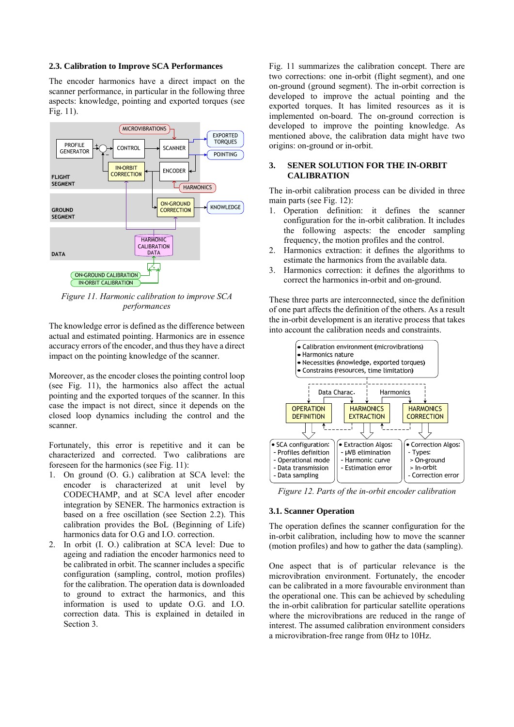#### **2.3. Calibration to Improve SCA Performances**

The encoder harmonics have a direct impact on the scanner performance, in particular in the following three aspects: knowledge, pointing and exported torques (see Fig. 11).



*Figure 11. Harmonic calibration to improve SCA performances* 

The knowledge error is defined as the difference between actual and estimated pointing. Harmonics are in essence accuracy errors of the encoder, and thus they have a direct impact on the pointing knowledge of the scanner.

Moreover, as the encoder closes the pointing control loop (see Fig. 11), the harmonics also affect the actual pointing and the exported torques of the scanner. In this case the impact is not direct, since it depends on the closed loop dynamics including the control and the scanner.

Fortunately, this error is repetitive and it can be characterized and corrected. Two calibrations are foreseen for the harmonics (see Fig. 11):

- 1. On ground (O. G.) calibration at SCA level: the encoder is characterized at unit level by CODECHAMP, and at SCA level after encoder integration by SENER. The harmonics extraction is based on a free oscillation (see Section 2.2). This calibration provides the BoL (Beginning of Life) harmonics data for O.G and I.O. correction.
- 2. In orbit (I. O.) calibration at SCA level: Due to ageing and radiation the encoder harmonics need to be calibrated in orbit. The scanner includes a specific configuration (sampling, control, motion profiles) for the calibration. The operation data is downloaded to ground to extract the harmonics, and this information is used to update O.G. and I.O. correction data. This is explained in detailed in Section 3.

Fig. 11 summarizes the calibration concept. There are two corrections: one in-orbit (flight segment), and one on-ground (ground segment). The in-orbit correction is developed to improve the actual pointing and the exported torques. It has limited resources as it is implemented on-board. The on-ground correction is developed to improve the pointing knowledge. As mentioned above, the calibration data might have two origins: on-ground or in-orbit.

## **3. SENER SOLUTION FOR THE IN-ORBIT CALIBRATION**

The in-orbit calibration process can be divided in three main parts (see Fig. 12):

- 1. Operation definition: it defines the scanner configuration for the in-orbit calibration. It includes the following aspects: the encoder sampling frequency, the motion profiles and the control.
- 2. Harmonics extraction: it defines the algorithms to estimate the harmonics from the available data.
- 3. Harmonics correction: it defines the algorithms to correct the harmonics in-orbit and on-ground.

These three parts are interconnected, since the definition of one part affects the definition of the others. As a result the in-orbit development is an iterative process that takes into account the calibration needs and constraints.



*Figure 12. Parts of the in-orbit encoder calibration* 

#### **3.1. Scanner Operation**

The operation defines the scanner configuration for the in-orbit calibration, including how to move the scanner (motion profiles) and how to gather the data (sampling).

One aspect that is of particular relevance is the microvibration environment. Fortunately, the encoder can be calibrated in a more favourable environment than the operational one. This can be achieved by scheduling the in-orbit calibration for particular satellite operations where the microvibrations are reduced in the range of interest. The assumed calibration environment considers a microvibration-free range from 0Hz to 10Hz.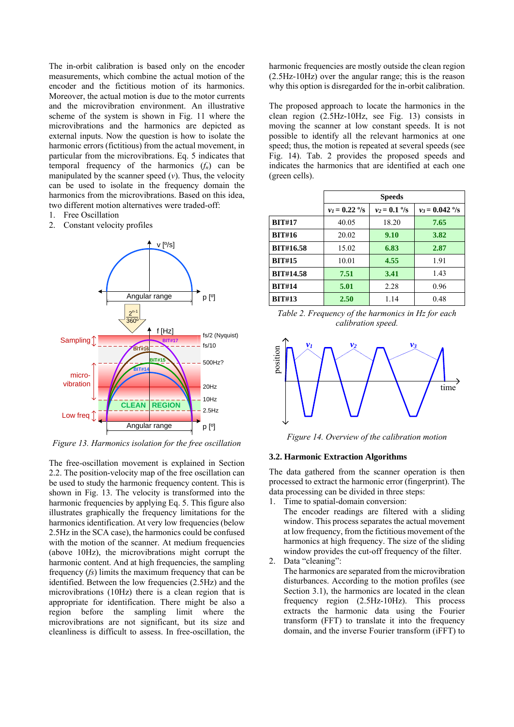The in-orbit calibration is based only on the encoder measurements, which combine the actual motion of the encoder and the fictitious motion of its harmonics. Moreover, the actual motion is due to the motor currents and the microvibration environment. An illustrative scheme of the system is shown in Fig. 11 where the microvibrations and the harmonics are depicted as external inputs. Now the question is how to isolate the harmonic errors (fictitious) from the actual movement, in particular from the microvibrations. Eq. 5 indicates that temporal frequency of the harmonics  $(f_n)$  can be manipulated by the scanner speed  $(v)$ . Thus, the velocity can be used to isolate in the frequency domain the harmonics from the microvibrations. Based on this idea, two different motion alternatives were traded-off:

- 1. Free Oscillation
- 2. Constant velocity profiles



*Figure 13. Harmonics isolation for the free oscillation* 

The free-oscillation movement is explained in Section 2.2. The position-velocity map of the free oscillation can be used to study the harmonic frequency content. This is shown in Fig. 13. The velocity is transformed into the harmonic frequencies by applying Eq. 5. This figure also illustrates graphically the frequency limitations for the harmonics identification. At very low frequencies (below 2.5Hz in the SCA case), the harmonics could be confused with the motion of the scanner. At medium frequencies (above 10Hz), the microvibrations might corrupt the harmonic content. And at high frequencies, the sampling frequency (*fs*) limits the maximum frequency that can be identified. Between the low frequencies (2.5Hz) and the microvibrations (10Hz) there is a clean region that is appropriate for identification. There might be also a region before the sampling limit where the microvibrations are not significant, but its size and cleanliness is difficult to assess. In free-oscillation, the

harmonic frequencies are mostly outside the clean region (2.5Hz-10Hz) over the angular range; this is the reason why this option is disregarded for the in-orbit calibration.

The proposed approach to locate the harmonics in the clean region (2.5Hz-10Hz, see Fig. 13) consists in moving the scanner at low constant speeds. It is not possible to identify all the relevant harmonics at one speed; thus, the motion is repeated at several speeds (see Fig. 14). Tab. 2 provides the proposed speeds and indicates the harmonics that are identified at each one (green cells).

|                  | <b>Speeds</b>  |               |                   |
|------------------|----------------|---------------|-------------------|
|                  | $v_1 = 0.22$ % | $v_2 = 0.1$ % | $v_3 = 0.042$ °/s |
| <b>BIT#17</b>    | 40.05          | 18.20         | 7.65              |
| <b>BIT#16</b>    | 20.02          | 9.10          | 3.82              |
| <b>BIT#16.58</b> | 15.02          | 6.83          | 2.87              |
| <b>BIT#15</b>    | 10.01          | 4.55          | 1.91              |
| <b>BIT#14.58</b> | 7.51           | 3.41          | 1.43              |
| <b>BIT#14</b>    | 5.01           | 2.28          | 0.96              |
| <b>BIT#13</b>    | 2.50           | 1.14          | 0.48              |

*Table 2. Frequency of the harmonics in Hz for each calibration speed.* 



*Figure 14. Overview of the calibration motion* 

#### **3.2. Harmonic Extraction Algorithms**

The data gathered from the scanner operation is then processed to extract the harmonic error (fingerprint). The data processing can be divided in three steps:

Time to spatial-domain conversion:

The encoder readings are filtered with a sliding window. This process separates the actual movement at low frequency, from the fictitious movement of the harmonics at high frequency. The size of the sliding window provides the cut-off frequency of the filter.

2. Data "cleaning":

The harmonics are separated from the microvibration disturbances. According to the motion profiles (see Section 3.1), the harmonics are located in the clean frequency region (2.5Hz-10Hz). This process extracts the harmonic data using the Fourier transform (FFT) to translate it into the frequency domain, and the inverse Fourier transform (iFFT) to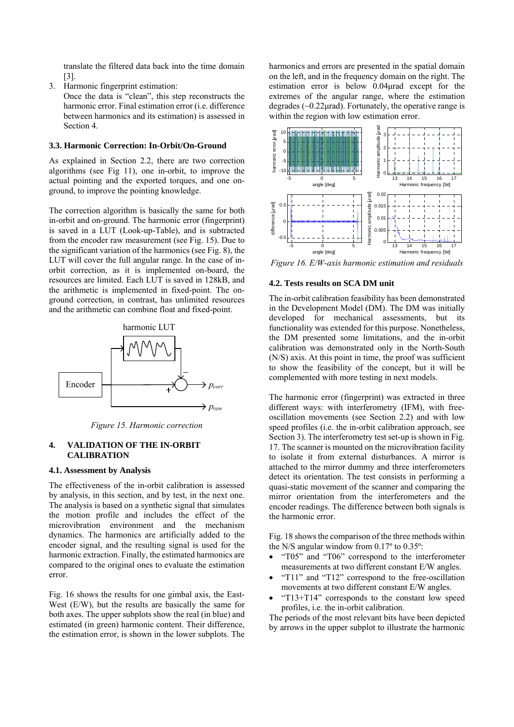translate the filtered data back into the time domain [3].

3. Harmonic fingerprint estimation:

Once the data is "clean", this step reconstructs the harmonic error. Final estimation error (i.e. difference between harmonics and its estimation) is assessed in Section 4.

#### **3.3. Harmonic Correction: In-Orbit/On-Ground**

As explained in Section 2.2, there are two correction algorithms (see Fig 11), one in-orbit, to improve the actual pointing and the exported torques, and one onground, to improve the pointing knowledge.

The correction algorithm is basically the same for both in-orbit and on-ground. The harmonic error (fingerprint) is saved in a LUT (Look-up-Table), and is subtracted from the encoder raw measurement (see Fig. 15). Due to the significant variation of the harmonics (see Fig. 8), the LUT will cover the full angular range. In the case of inorbit correction, as it is implemented on-board, the resources are limited. Each LUT is saved in 128kB, and the arithmetic is implemented in fixed-point. The onground correction, in contrast, has unlimited resources and the arithmetic can combine float and fixed-point.



*Figure 15. Harmonic correction* 

#### **4. VALIDATION OF THE IN-ORBIT CALIBRATION**

### **4.1. Assessment by Analysis**

The effectiveness of the in-orbit calibration is assessed by analysis, in this section, and by test, in the next one. The analysis is based on a synthetic signal that simulates the motion profile and includes the effect of the microvibration environment and the mechanism dynamics. The harmonics are artificially added to the encoder signal, and the resulting signal is used for the harmonic extraction. Finally, the estimated harmonics are compared to the original ones to evaluate the estimation error.

Fig. 16 shows the results for one gimbal axis, the East-West (E/W), but the results are basically the same for both axes. The upper subplots show the real (in blue) and estimated (in green) harmonic content. Their difference, the estimation error, is shown in the lower subplots. The

harmonics and errors are presented in the spatial domain on the left, and in the frequency domain on the right. The estimation error is below 0.04μrad except for the extremes of the angular range, where the estimation degrades  $(\sim 0.22 \mu \text{rad})$ . Fortunately, the operative range is within the region with low estimation error.



*Figure 16. E/W-axis harmonic estimation and residuals* 

#### **4.2. Tests results on SCA DM unit**

The in-orbit calibration feasibility has been demonstrated in the Development Model (DM). The DM was initially developed for mechanical assessments, but its functionality was extended for this purpose. Nonetheless, the DM presented some limitations, and the in-orbit calibration was demonstrated only in the North-South (N/S) axis. At this point in time, the proof was sufficient to show the feasibility of the concept, but it will be complemented with more testing in next models.

The harmonic error (fingerprint) was extracted in three different ways: with interferometry (IFM), with freeoscillation movements (see Section 2.2) and with low speed profiles (i.e. the in-orbit calibration approach, see Section 3). The interferometry test set-up is shown in Fig. 17. The scanner is mounted on the microvibration facility to isolate it from external disturbances. A mirror is attached to the mirror dummy and three interferometers detect its orientation. The test consists in performing a quasi-static movement of the scanner and comparing the mirror orientation from the interferometers and the encoder readings. The difference between both signals is the harmonic error.

Fig. 18 shows the comparison of the three methods within the N/S angular window from 0.17º to 0.35º:

- "T05" and "T06" correspond to the interferometer measurements at two different constant E/W angles.
- "T11" and "T12" correspond to the free-oscillation movements at two different constant E/W angles.
- "T13+T14" corresponds to the constant low speed profiles, i.e. the in-orbit calibration.

The periods of the most relevant bits have been depicted by arrows in the upper subplot to illustrate the harmonic